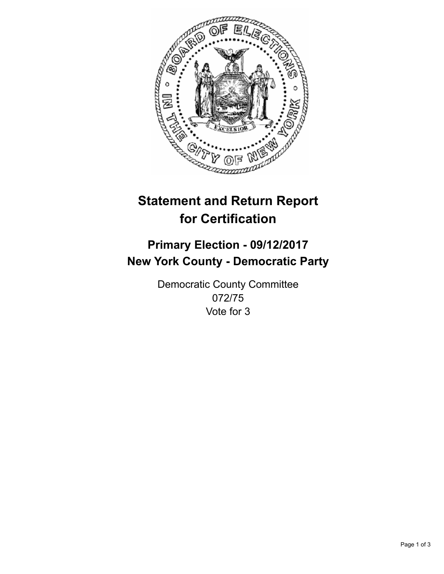

## **Statement and Return Report for Certification**

## **Primary Election - 09/12/2017 New York County - Democratic Party**

Democratic County Committee 072/75 Vote for 3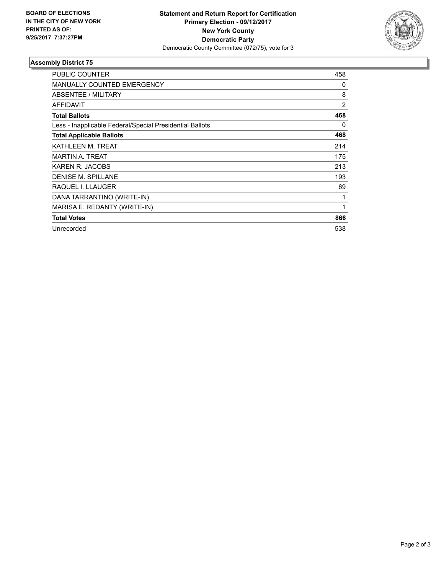

## **Assembly District 75**

| <b>PUBLIC COUNTER</b>                                    | 458            |
|----------------------------------------------------------|----------------|
| <b>MANUALLY COUNTED EMERGENCY</b>                        | 0              |
| ABSENTEE / MILITARY                                      | 8              |
| <b>AFFIDAVIT</b>                                         | $\overline{2}$ |
| <b>Total Ballots</b>                                     | 468            |
| Less - Inapplicable Federal/Special Presidential Ballots | 0              |
| <b>Total Applicable Ballots</b>                          | 468            |
| KATHLEEN M. TREAT                                        | 214            |
| <b>MARTIN A. TREAT</b>                                   | 175            |
| KAREN R. JACOBS                                          | 213            |
| <b>DENISE M. SPILLANE</b>                                | 193            |
| RAQUEL I. LLAUGER                                        | 69             |
| DANA TARRANTINO (WRITE-IN)                               | 1              |
| MARISA E. REDANTY (WRITE-IN)                             | 1              |
| <b>Total Votes</b>                                       | 866            |
| Unrecorded                                               | 538            |